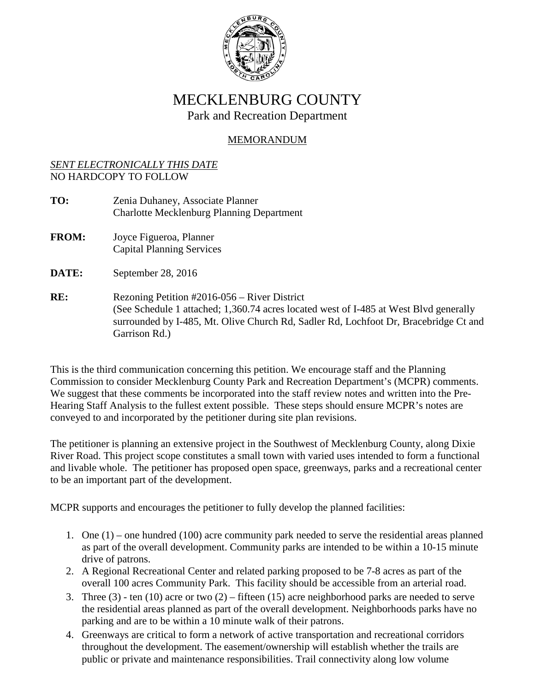

## MECKLENBURG COUNTY Park and Recreation Department

## MEMORANDUM

## *SENT ELECTRONICALLY THIS DATE* NO HARDCOPY TO FOLLOW

**TO:** Zenia Duhaney, Associate Planner Charlotte Mecklenburg Planning Department **FROM:** Joyce Figueroa, Planner

Capital Planning Services

**DATE:** September 28, 2016

RE: Rezoning Petition #2016-056 – River District (See Schedule 1 attached; 1,360.74 acres located west of I-485 at West Blvd generally surrounded by I-485, Mt. Olive Church Rd, Sadler Rd, Lochfoot Dr, Bracebridge Ct and Garrison Rd.)

This is the third communication concerning this petition. We encourage staff and the Planning Commission to consider Mecklenburg County Park and Recreation Department's (MCPR) comments. We suggest that these comments be incorporated into the staff review notes and written into the Pre-Hearing Staff Analysis to the fullest extent possible. These steps should ensure MCPR's notes are conveyed to and incorporated by the petitioner during site plan revisions.

The petitioner is planning an extensive project in the Southwest of Mecklenburg County, along Dixie River Road. This project scope constitutes a small town with varied uses intended to form a functional and livable whole. The petitioner has proposed open space, greenways, parks and a recreational center to be an important part of the development.

MCPR supports and encourages the petitioner to fully develop the planned facilities:

- 1. One (1) one hundred (100) acre community park needed to serve the residential areas planned as part of the overall development. Community parks are intended to be within a 10-15 minute drive of patrons.
- 2. A Regional Recreational Center and related parking proposed to be 7-8 acres as part of the overall 100 acres Community Park. This facility should be accessible from an arterial road.
- 3. Three (3) ten (10) acre or two (2) fifteen (15) acre neighborhood parks are needed to serve the residential areas planned as part of the overall development. Neighborhoods parks have no parking and are to be within a 10 minute walk of their patrons.
- 4. Greenways are critical to form a network of active transportation and recreational corridors throughout the development. The easement/ownership will establish whether the trails are public or private and maintenance responsibilities. Trail connectivity along low volume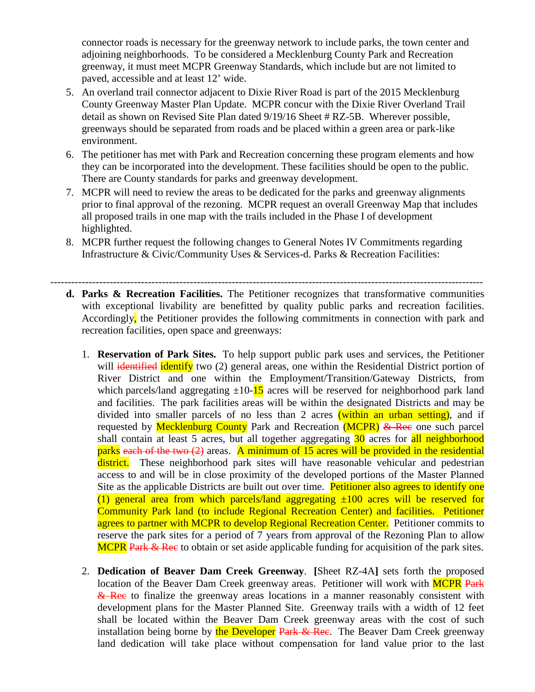connector roads is necessary for the greenway network to include parks, the town center and adjoining neighborhoods. To be considered a Mecklenburg County Park and Recreation greenway, it must meet MCPR Greenway Standards, which include but are not limited to paved, accessible and at least 12' wide.

- 5. An overland trail connector adjacent to Dixie River Road is part of the 2015 Mecklenburg County Greenway Master Plan Update. MCPR concur with the Dixie River Overland Trail detail as shown on Revised Site Plan dated 9/19/16 Sheet # RZ-5B. Wherever possible, greenways should be separated from roads and be placed within a green area or park-like environment.
- 6. The petitioner has met with Park and Recreation concerning these program elements and how they can be incorporated into the development. These facilities should be open to the public. There are County standards for parks and greenway development.
- 7. MCPR will need to review the areas to be dedicated for the parks and greenway alignments prior to final approval of the rezoning. MCPR request an overall Greenway Map that includes all proposed trails in one map with the trails included in the Phase I of development highlighted.
- 8. MCPR further request the following changes to General Notes IV Commitments regarding Infrastructure & Civic/Community Uses & Services-d. Parks & Recreation Facilities:
- --------------------------------------------------------------------------------------------------------------------------- **d. Parks & Recreation Facilities.** The Petitioner recognizes that transformative communities with exceptional livability are benefitted by quality public parks and recreation facilities. Accordingly, the Petitioner provides the following commitments in connection with park and recreation facilities, open space and greenways:
	- 1. **Reservation of Park Sites.** To help support public park uses and services, the Petitioner will identified identify two (2) general areas, one within the Residential District portion of River District and one within the Employment/Transition/Gateway Districts, from which parcels/land aggregating  $\pm 10$ -15 acres will be reserved for neighborhood park land and facilities. The park facilities areas will be within the designated Districts and may be divided into smaller parcels of no less than 2 acres (within an urban setting), and if requested by **Mecklenburg County** Park and Recreation **(MCPR)** & Rec one such parcel shall contain at least 5 acres, but all together aggregating 30 acres for all neighborhood parks each of the two (2) areas. A minimum of 15 acres will be provided in the residential district. These neighborhood park sites will have reasonable vehicular and pedestrian access to and will be in close proximity of the developed portions of the Master Planned Site as the applicable Districts are built out over time. Petitioner also agrees to identify one (1) general area from which parcels/land aggregating  $\pm 100$  acres will be reserved for Community Park land (to include Regional Recreation Center) and facilities. Petitioner agrees to partner with MCPR to develop Regional Recreation Center. Petitioner commits to reserve the park sites for a period of 7 years from approval of the Rezoning Plan to allow MCPR Park & Rec to obtain or set aside applicable funding for acquisition of the park sites.
	- 2. **Dedication of Beaver Dam Creek Greenway**. **[**Sheet RZ-4A**]** sets forth the proposed location of the Beaver Dam Creek greenway areas. Petitioner will work with **MCPR** Park & Rec to finalize the greenway areas locations in a manner reasonably consistent with development plans for the Master Planned Site. Greenway trails with a width of 12 feet shall be located within the Beaver Dam Creek greenway areas with the cost of such installation being borne by the Developer Park & Rec. The Beaver Dam Creek greenway land dedication will take place without compensation for land value prior to the last